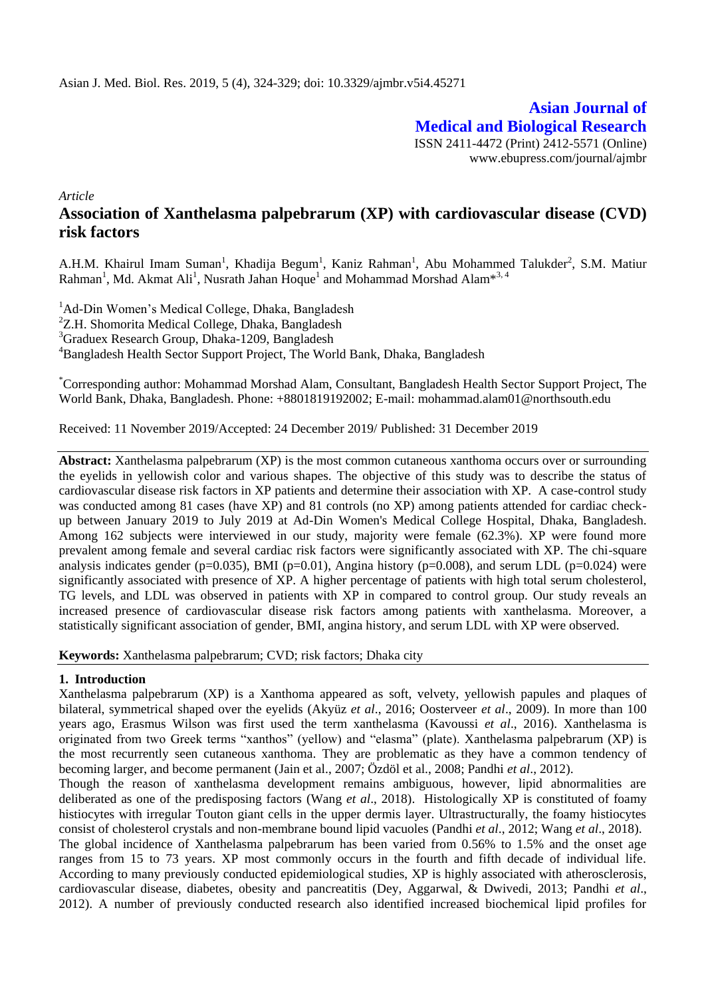**Asian Journal of Medical and Biological Research** ISSN 2411-4472 (Print) 2412-5571 (Online) www.ebupress.com/journal/ajmbr

*Article*

# **Association of Xanthelasma palpebrarum (XP) with cardiovascular disease (CVD) risk factors**

A.H.M. Khairul Imam Suman<sup>1</sup>, Khadija Begum<sup>1</sup>, Kaniz Rahman<sup>1</sup>, Abu Mohammed Talukder<sup>2</sup>, S.M. Matiur Rahman<sup>1</sup>, Md. Akmat Ali<sup>1</sup>, Nusrath Jahan Hoque<sup>1</sup> and Mohammad Morshad Alam<sup>\*3, 4</sup>

<sup>1</sup>Ad-Din Women's Medical College, Dhaka, Bangladesh <sup>2</sup>Z.H. Shomorita Medical College, Dhaka, Bangladesh <sup>3</sup>Graduex Research Group, Dhaka-1209, Bangladesh <sup>4</sup>Bangladesh Health Sector Support Project, The World Bank, Dhaka, Bangladesh

\*Corresponding author: Mohammad Morshad Alam, Consultant, Bangladesh Health Sector Support Project, The World Bank, Dhaka, Bangladesh. Phone: +8801819192002; E-mail: [mohammad.alam01@northsouth.edu](mailto:mohammad.alam01@northsouth.edu)

Received: 11 November 2019/Accepted: 24 December 2019/ Published: 31 December 2019

**Abstract:** Xanthelasma palpebrarum (XP) is the most common cutaneous xanthoma occurs over or surrounding the eyelids in yellowish color and various shapes. The objective of this study was to describe the status of cardiovascular disease risk factors in XP patients and determine their association with XP. A case-control study was conducted among 81 cases (have XP) and 81 controls (no XP) among patients attended for cardiac checkup between January 2019 to July 2019 at Ad-Din Women's Medical College Hospital, Dhaka, Bangladesh. Among 162 subjects were interviewed in our study, majority were female (62.3%). XP were found more prevalent among female and several cardiac risk factors were significantly associated with XP. The chi-square analysis indicates gender (p=0.035), BMI (p=0.01), Angina history (p=0.008), and serum LDL (p=0.024) were significantly associated with presence of XP. A higher percentage of patients with high total serum cholesterol, TG levels, and LDL was observed in patients with XP in compared to control group. Our study reveals an increased presence of cardiovascular disease risk factors among patients with xanthelasma. Moreover, a statistically significant association of gender, BMI, angina history, and serum LDL with XP were observed.

**Keywords:** Xanthelasma palpebrarum; CVD; risk factors; Dhaka city

#### **1. Introduction**

Xanthelasma palpebrarum (XP) is a Xanthoma appeared as soft, velvety, yellowish papules and plaques of bilateral, symmetrical shaped over the eyelids (Akyüz *et al*., 2016; Oosterveer *et al*., 2009). In more than 100 years ago, Erasmus Wilson was first used the term xanthelasma (Kavoussi *et al*., 2016). Xanthelasma is originated from two Greek terms "xanthos" (yellow) and "elasma" (plate). Xanthelasma palpebrarum (XP) is the most recurrently seen cutaneous xanthoma. They are problematic as they have a common tendency of becoming larger, and become permanent (Jain et al., 2007; Özdöl et al., 2008; Pandhi *et al*., 2012).

Though the reason of xanthelasma development remains ambiguous, however, lipid abnormalities are deliberated as one of the predisposing factors (Wang *et al*., 2018). Histologically XP is constituted of foamy histiocytes with irregular Touton giant cells in the upper dermis layer. Ultrastructurally, the foamy histiocytes consist of cholesterol crystals and non-membrane bound lipid vacuoles (Pandhi *et al*., 2012; Wang *et al*., 2018). The global incidence of Xanthelasma palpebrarum has been varied from 0.56% to 1.5% and the onset age ranges from 15 to 73 years. XP most commonly occurs in the fourth and fifth decade of individual life. According to many previously conducted epidemiological studies, XP is highly associated with atherosclerosis, cardiovascular disease, diabetes, obesity and pancreatitis (Dey, Aggarwal, & Dwivedi, 2013; Pandhi *et al*., 2012). A number of previously conducted research also identified increased biochemical lipid profiles for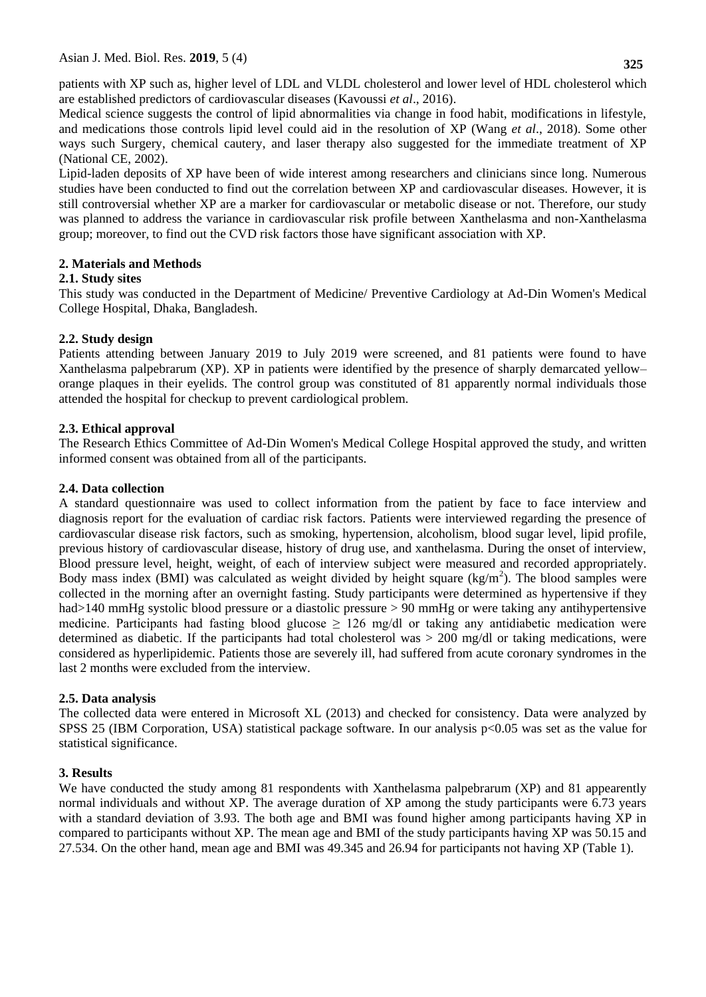patients with XP such as, higher level of LDL and VLDL cholesterol and lower level of HDL cholesterol which are established predictors of cardiovascular diseases (Kavoussi *et al*., 2016).

Medical science suggests the control of lipid abnormalities via change in food habit, modifications in lifestyle, and medications those controls lipid level could aid in the resolution of XP (Wang *et al*., 2018). Some other ways such Surgery, chemical cautery, and laser therapy also suggested for the immediate treatment of XP (National CE, 2002).

Lipid-laden deposits of XP have been of wide interest among researchers and clinicians since long. Numerous studies have been conducted to find out the correlation between XP and cardiovascular diseases. However, it is still controversial whether XP are a marker for cardiovascular or metabolic disease or not. Therefore, our study was planned to address the variance in cardiovascular risk profile between Xanthelasma and non-Xanthelasma group; moreover, to find out the CVD risk factors those have significant association with XP.

# **2. Materials and Methods**

# **2.1. Study sites**

This study was conducted in the Department of Medicine/ Preventive Cardiology at Ad-Din Women's Medical College Hospital, Dhaka, Bangladesh.

# **2.2. Study design**

Patients attending between January 2019 to July 2019 were screened, and 81 patients were found to have Xanthelasma palpebrarum (XP). XP in patients were identified by the presence of sharply demarcated yellow– orange plaques in their eyelids. The control group was constituted of 81 apparently normal individuals those attended the hospital for checkup to prevent cardiological problem.

# **2.3. Ethical approval**

The Research Ethics Committee of Ad-Din Women's Medical College Hospital approved the study, and written informed consent was obtained from all of the participants.

# **2.4. Data collection**

A standard questionnaire was used to collect information from the patient by face to face interview and diagnosis report for the evaluation of cardiac risk factors. Patients were interviewed regarding the presence of cardiovascular disease risk factors, such as smoking, hypertension, alcoholism, blood sugar level, lipid profile, previous history of cardiovascular disease, history of drug use, and xanthelasma. During the onset of interview, Blood pressure level, height, weight, of each of interview subject were measured and recorded appropriately. Body mass index (BMI) was calculated as weight divided by height square  $(kg/m<sup>2</sup>)$ . The blood samples were collected in the morning after an overnight fasting. Study participants were determined as hypertensive if they had>140 mmHg systolic blood pressure or a diastolic pressure > 90 mmHg or were taking any antihypertensive medicine. Participants had fasting blood glucose  $\geq$  126 mg/dl or taking any antidiabetic medication were determined as diabetic. If the participants had total cholesterol was > 200 mg/dl or taking medications, were considered as hyperlipidemic. Patients those are severely ill, had suffered from acute coronary syndromes in the last 2 months were excluded from the interview.

# **2.5. Data analysis**

The collected data were entered in Microsoft XL (2013) and checked for consistency. Data were analyzed by SPSS 25 (IBM Corporation, USA) statistical package software. In our analysis p<0.05 was set as the value for statistical significance.

# **3. Results**

We have conducted the study among 81 respondents with Xanthelasma palpebrarum (XP) and 81 appearently normal individuals and without XP. The average duration of XP among the study participants were 6.73 years with a standard deviation of 3.93. The both age and BMI was found higher among participants having XP in compared to participants without XP. The mean age and BMI of the study participants having XP was 50.15 and 27.534. On the other hand, mean age and BMI was 49.345 and 26.94 for participants not having XP (Table 1).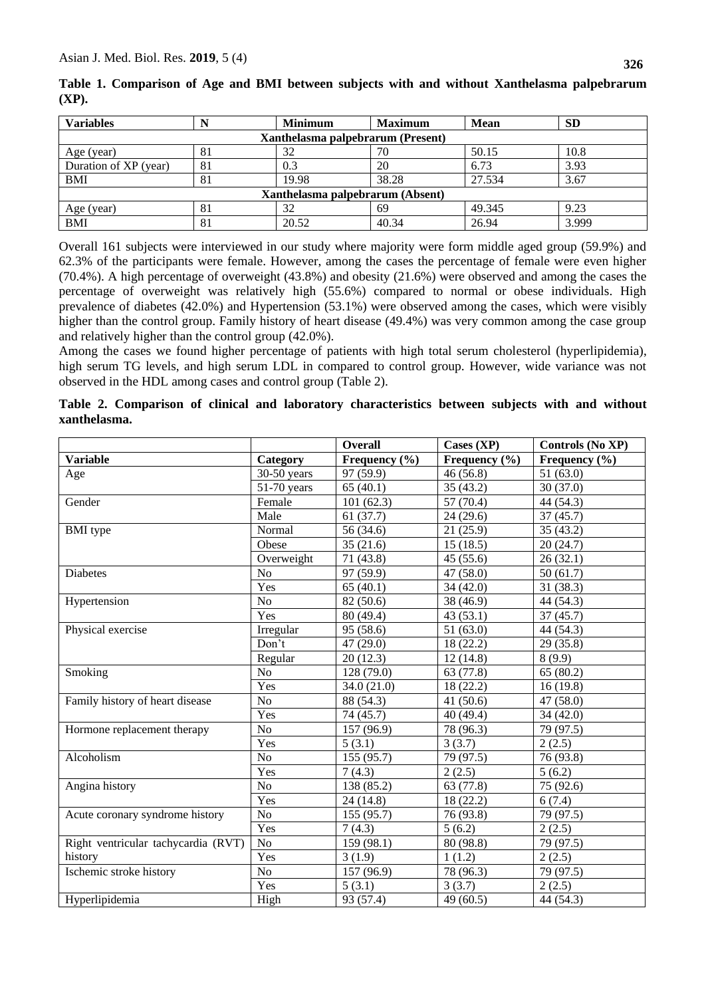| <b>Variables</b>                  |    | <b>Minimum</b> | <b>Maximum</b> | <b>Mean</b> | <b>SD</b> |  |
|-----------------------------------|----|----------------|----------------|-------------|-----------|--|
| Xanthelasma palpebrarum (Present) |    |                |                |             |           |  |
| Age (year)                        | 81 | 32             | 70             | 50.15       | 10.8      |  |
| Duration of XP (year)             | 81 | 0.3            | 20             | 6.73        | 3.93      |  |
| <b>BMI</b>                        | 81 | 19.98          | 38.28          | 27.534      | 3.67      |  |
| Xanthelasma palpebrarum (Absent)  |    |                |                |             |           |  |
| Age (year)                        | 81 | 32             | 69             | 49.345      | 9.23      |  |
| $\overline{BMI}$                  | 81 | 20.52          | 40.34          | 26.94       | 3.999     |  |

**Table 1. Comparison of Age and BMI between subjects with and without Xanthelasma palpebrarum (XP).** 

Overall 161 subjects were interviewed in our study where majority were form middle aged group (59.9%) and 62.3% of the participants were female. However, among the cases the percentage of female were even higher (70.4%). A high percentage of overweight (43.8%) and obesity (21.6%) were observed and among the cases the percentage of overweight was relatively high (55.6%) compared to normal or obese individuals. High prevalence of diabetes (42.0%) and Hypertension (53.1%) were observed among the cases, which were visibly higher than the control group. Family history of heart disease (49.4%) was very common among the case group and relatively higher than the control group (42.0%).

Among the cases we found higher percentage of patients with high total serum cholesterol (hyperlipidemia), high serum TG levels, and high serum LDL in compared to control group. However, wide variance was not observed in the HDL among cases and control group (Table 2).

**Table 2. Comparison of clinical and laboratory characteristics between subjects with and without xanthelasma.** 

|                                     |                | <b>Overall</b> | Cases $(XP)$      | Controls (No XP)  |
|-------------------------------------|----------------|----------------|-------------------|-------------------|
| <b>Variable</b>                     | Category       | Frequency (%)  | Frequency $(\% )$ | Frequency $(\% )$ |
| Age                                 | $30-50$ years  | 97 (59.9)      | 46(56.8)          | 51(63.0)          |
|                                     | 51-70 years    | 65(40.1)       | 35(43.2)          | 30(37.0)          |
| Gender                              | Female         | 101(62.3)      | 57 (70.4)         | 44 (54.3)         |
|                                     | Male           | 61(37.7)       | 24(29.6)          | 37(45.7)          |
| <b>BMI</b> type                     | Normal         | 56 (34.6)      | 21(25.9)          | 35(43.2)          |
|                                     | Obese          | 35(21.6)       | 15(18.5)          | 20(24.7)          |
|                                     | Overweight     | 71 (43.8)      | 45(55.6)          | 26(32.1)          |
| <b>Diabetes</b>                     | N <sub>o</sub> | 97 (59.9)      | 47(58.0)          | 50(61.7)          |
|                                     | Yes            | 65(40.1)       | 34 (42.0)         | 31(38.3)          |
| Hypertension                        | N <sub>o</sub> | 82 (50.6)      | 38 (46.9)         | 44 (54.3)         |
|                                     | Yes            | 80 (49.4)      | 43(53.1)          | 37(45.7)          |
| Physical exercise                   | Irregular      | 95 (58.6)      | 51(63.0)          | 44 (54.3)         |
|                                     | Don't          | 47 (29.0)      | 18 (22.2)         | 29(35.8)          |
|                                     | Regular        | 20(12.3)       | 12(14.8)          | 8(9.9)            |
| Smoking                             | N <sub>o</sub> | 128 (79.0)     | 63 (77.8)         | 65(80.2)          |
|                                     | Yes            | 34.0 (21.0)    | 18(22.2)          | 16(19.8)          |
| Family history of heart disease     | No             | 88 (54.3)      | 41(50.6)          | 47 (58.0)         |
|                                     | Yes            | 74 (45.7)      | 40 (49.4)         | 34(42.0)          |
| Hormone replacement therapy         | N <sub>o</sub> | 157 (96.9)     | 78 (96.3)         | 79 (97.5)         |
|                                     | Yes            | 5(3.1)         | 3(3.7)            | 2(2.5)            |
| Alcoholism                          | N <sub>o</sub> | 155 (95.7)     | 79 (97.5)         | 76 (93.8)         |
|                                     | Yes            | 7(4.3)         | 2(2.5)            | 5(6.2)            |
| Angina history                      | N <sub>o</sub> | 138 (85.2)     | 63 (77.8)         | 75 (92.6)         |
|                                     | Yes            | 24(14.8)       | 18(22.2)          | 6(7.4)            |
| Acute coronary syndrome history     | N <sub>o</sub> | 155 (95.7)     | 76 (93.8)         | 79 (97.5)         |
|                                     | Yes            | 7(4.3)         | 5(6.2)            | 2(2.5)            |
| Right ventricular tachycardia (RVT) | N <sub>o</sub> | 159 (98.1)     | 80 (98.8)         | 79 (97.5)         |
| history                             | Yes            | 3(1.9)         | 1(1.2)            | 2(2.5)            |
| Ischemic stroke history             | N <sub>o</sub> | 157 (96.9)     | 78 (96.3)         | 79 (97.5)         |
|                                     | Yes            | 5(3.1)         | 3(3.7)            | 2(2.5)            |
| Hyperlipidemia                      | High           | 93 (57.4)      | 49(60.5)          | 44 (54.3)         |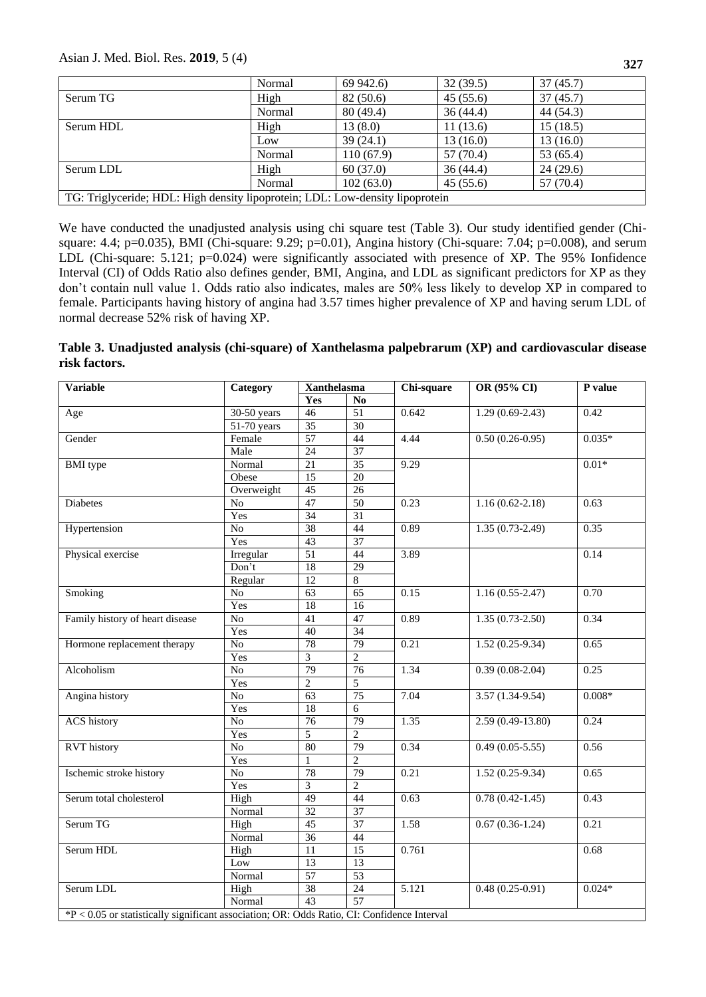#### Asian J. Med. Biol. Res. **2019**, 5 (4)

|                                                                               | Normal | 69 942.6) | 32(39.5)  | 37(45.7)  |  |
|-------------------------------------------------------------------------------|--------|-----------|-----------|-----------|--|
| Serum TG                                                                      | High   | 82(50.6)  | 45(55.6)  | 37(45.7)  |  |
|                                                                               | Normal | 80(49.4)  | 36(44.4)  | 44 (54.3) |  |
| Serum HDL                                                                     | High   | 13(8.0)   | 11(13.6)  | 15(18.5)  |  |
|                                                                               | Low    | 39(24.1)  | 13(16.0)  | 13(16.0)  |  |
|                                                                               | Normal | 110(67.9) | 57 (70.4) | 53 (65.4) |  |
| Serum LDL                                                                     | High   | 60(37.0)  | 36(44.4)  | 24(29.6)  |  |
|                                                                               | Normal | 102(63.0) | 45(55.6)  | 57 (70.4) |  |
| TG: Triglyceride; HDL: High density lipoprotein; LDL: Low-density lipoprotein |        |           |           |           |  |

We have conducted the unadjusted analysis using chi square test (Table 3). Our study identified gender (Chisquare: 4.4; p=0.035), BMI (Chi-square: 9.29; p=0.01), Angina history (Chi-square: 7.04; p=0.008), and serum LDL (Chi-square: 5.121; p=0.024) were significantly associated with presence of XP. The 95% Ionfidence Interval (CI) of Odds Ratio also defines gender, BMI, Angina, and LDL as significant predictors for XP as they don't contain null value 1. Odds ratio also indicates, males are 50% less likely to develop XP in compared to female. Participants having history of angina had 3.57 times higher prevalence of XP and having serum LDL of normal decrease 52% risk of having XP.

#### **Table 3. Unadjusted analysis (chi-square) of Xanthelasma palpebrarum (XP) and cardiovascular disease risk factors.**

| <b>Variable</b>                                                                             | Category                 | <b>Xanthelasma</b> |                        | Chi-square        | OR (95% CI)         | P value  |
|---------------------------------------------------------------------------------------------|--------------------------|--------------------|------------------------|-------------------|---------------------|----------|
|                                                                                             |                          | Yes                | $\mathbf{N}\mathbf{o}$ |                   |                     |          |
| Age                                                                                         | $30-50$ years            | 46                 | 51                     | 0.642             | $1.29(0.69-2.43)$   | 0.42     |
|                                                                                             | $\overline{51-70}$ years | 35                 | $\overline{30}$        |                   |                     |          |
| Gender                                                                                      | Female                   | $\overline{57}$    | 44                     | 4.44              | $0.50(0.26-0.95)$   | $0.035*$ |
|                                                                                             | Male                     | 24                 | 37                     |                   |                     |          |
| <b>BMI</b> type                                                                             | Normal                   | 21                 | 35                     | 9.29              |                     | $0.01*$  |
|                                                                                             | Obese                    | $\overline{15}$    | $\overline{20}$        |                   |                     |          |
|                                                                                             | Overweight               | 45                 | 26                     |                   |                     |          |
| <b>Diabetes</b>                                                                             | No                       | 47                 | 50                     | 0.23              | $1.16(0.62 - 2.18)$ | 0.63     |
|                                                                                             | Yes                      | 34                 | $\overline{31}$        |                   |                     |          |
| Hypertension                                                                                | No                       | 38                 | 44                     | 0.89              | $1.35(0.73-2.49)$   | 0.35     |
|                                                                                             | Yes                      | 43                 | 37                     |                   |                     |          |
| Physical exercise                                                                           | Irregular                | 51                 | 44                     | $\overline{3.89}$ |                     | 0.14     |
|                                                                                             | Don't                    | $\overline{18}$    | $\overline{29}$        |                   |                     |          |
|                                                                                             | Regular                  | 12                 | $\overline{8}$         |                   |                     |          |
| Smoking                                                                                     | $\rm No$                 | $\overline{63}$    | $\overline{65}$        | 0.15              | $1.16(0.55-2.47)$   | 0.70     |
|                                                                                             | Yes                      | $\overline{18}$    | 16                     |                   |                     |          |
| Family history of heart disease                                                             | $\overline{No}$          | 41                 | 47                     | 0.89              | $1.35(0.73-2.50)$   | 0.34     |
|                                                                                             | Yes                      | 40                 | 34                     |                   |                     |          |
| Hormone replacement therapy                                                                 | No                       | 78                 | $\overline{79}$        | 0.21              | $1.52(0.25-9.34)$   | 0.65     |
|                                                                                             | Yes                      | 3                  | $\overline{2}$         |                   |                     |          |
| Alcoholism                                                                                  | $\rm No$                 | 79                 | 76                     | 1.34              | $0.39(0.08-2.04)$   | 0.25     |
|                                                                                             | Yes                      | $\overline{2}$     | 5                      |                   |                     |          |
| Angina history                                                                              | $\rm No$                 | 63                 | $\overline{75}$        | 7.04              | $3.57(1.34-9.54)$   | $0.008*$ |
|                                                                                             | Yes                      | 18                 | $6\,$                  |                   |                     |          |
| <b>ACS</b> history                                                                          | $\rm No$                 | 76                 | $\overline{79}$        | 1.35              | $2.59(0.49-13.80)$  | 0.24     |
|                                                                                             | Yes                      | $\overline{5}$     | $\overline{2}$         |                   |                     |          |
| <b>RVT</b> history                                                                          | N <sub>o</sub>           | 80                 | 79                     | 0.34              | $0.49(0.05 - 5.55)$ | 0.56     |
|                                                                                             | Yes                      | $\mathbf{1}$       | $\overline{2}$         |                   |                     |          |
| Ischemic stroke history                                                                     | No                       | 78                 | $\overline{79}$        | 0.21              | $1.52(0.25-9.34)$   | 0.65     |
|                                                                                             | Yes                      | 3                  | $\overline{2}$         |                   |                     |          |
| Serum total cholesterol                                                                     | High                     | 49                 | 44                     | 0.63              | $0.78(0.42 - 1.45)$ | 0.43     |
|                                                                                             | Normal                   | 32                 | 37                     |                   |                     |          |
| Serum TG                                                                                    | High                     | $\overline{45}$    | $\overline{37}$        | 1.58              | $0.67(0.36-1.24)$   | 0.21     |
|                                                                                             | Normal                   | $\overline{36}$    | 44                     |                   |                     |          |
| Serum HDL                                                                                   | High                     | $\overline{11}$    | 15                     | 0.761             |                     | 0.68     |
|                                                                                             | Low                      | 13                 | 13                     |                   |                     |          |
|                                                                                             | Normal                   | 57                 | 53                     |                   |                     |          |
| Serum LDL                                                                                   | High                     | $\overline{38}$    | $\overline{24}$        | 5.121             | $0.48(0.25-0.91)$   | $0.024*$ |
|                                                                                             | Normal                   | 43                 | 57                     |                   |                     |          |
| *P < 0.05 or statistically significant association; OR: Odds Ratio, CI: Confidence Interval |                          |                    |                        |                   |                     |          |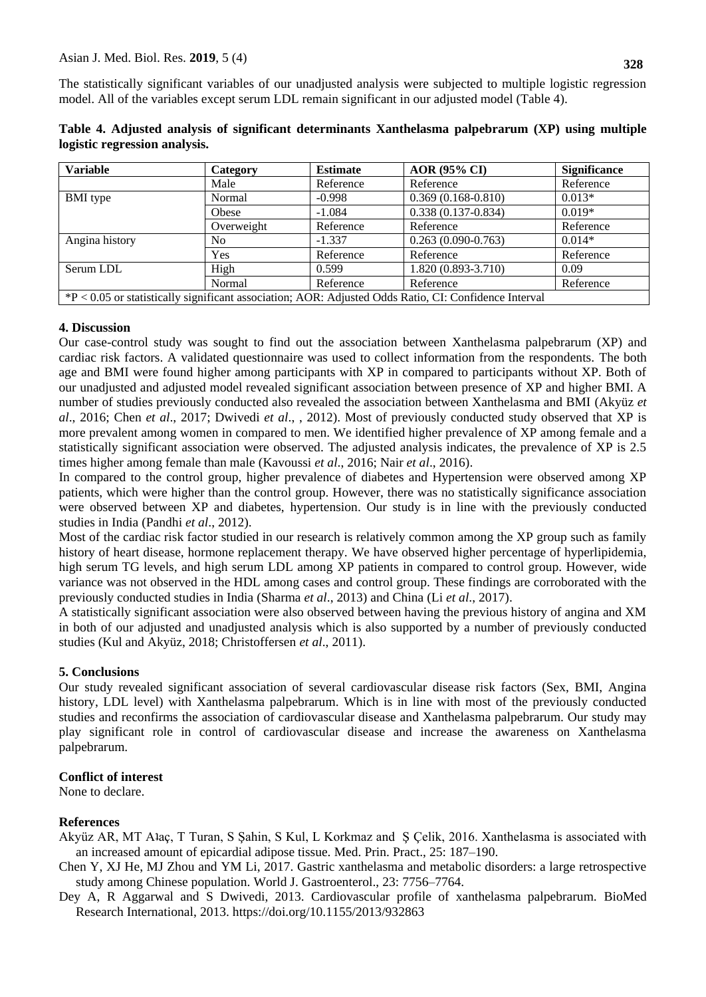The statistically significant variables of our unadjusted analysis were subjected to multiple logistic regression model. All of the variables except serum LDL remain significant in our adjusted model (Table 4).

| <b>Variable</b>                                                                                        | Category   | <b>Estimate</b> | <b>AOR (95% CI)</b>    | <b>Significance</b> |  |
|--------------------------------------------------------------------------------------------------------|------------|-----------------|------------------------|---------------------|--|
|                                                                                                        | Male       | Reference       | Reference              | Reference           |  |
| <b>BMI</b> type                                                                                        | Normal     | $-0.998$        | $0.369(0.168-0.810)$   | $0.013*$            |  |
|                                                                                                        | Obese      | $-1.084$        | $0.338(0.137 - 0.834)$ | $0.019*$            |  |
|                                                                                                        | Overweight | Reference       | Reference              | Reference           |  |
| Angina history                                                                                         | No.        | $-1.337$        | $0.263(0.090-0.763)$   | $0.014*$            |  |
|                                                                                                        | Yes        | Reference       | Reference              | Reference           |  |
| Serum LDL                                                                                              | High       | 0.599           | 1.820 (0.893-3.710)    | 0.09                |  |
|                                                                                                        | Normal     | Reference       | Reference              | Reference           |  |
| $P < 0.05$ or statistically significant association; AOR: Adjusted Odds Ratio, CI: Confidence Interval |            |                 |                        |                     |  |

**Table 4. Adjusted analysis of significant determinants Xanthelasma palpebrarum (XP) using multiple logistic regression analysis.** 

#### **4. Discussion**

Our case-control study was sought to find out the association between Xanthelasma palpebrarum (XP) and cardiac risk factors. A validated questionnaire was used to collect information from the respondents. The both age and BMI were found higher among participants with XP in compared to participants without XP. Both of our unadjusted and adjusted model revealed significant association between presence of XP and higher BMI. A number of studies previously conducted also revealed the association between Xanthelasma and BMI (Akyüz *et al*., 2016; Chen *et al*., 2017; Dwivedi *et al*., , 2012). Most of previously conducted study observed that XP is more prevalent among women in compared to men. We identified higher prevalence of XP among female and a statistically significant association were observed. The adjusted analysis indicates, the prevalence of XP is 2.5 times higher among female than male (Kavoussi *et al*., 2016; Nair *et al*., 2016).

In compared to the control group, higher prevalence of diabetes and Hypertension were observed among XP patients, which were higher than the control group. However, there was no statistically significance association were observed between XP and diabetes, hypertension. Our study is in line with the previously conducted studies in India (Pandhi *et al*., 2012).

Most of the cardiac risk factor studied in our research is relatively common among the XP group such as family history of heart disease, hormone replacement therapy. We have observed higher percentage of hyperlipidemia, high serum TG levels, and high serum LDL among XP patients in compared to control group. However, wide variance was not observed in the HDL among cases and control group. These findings are corroborated with the previously conducted studies in India (Sharma *et al*., 2013) and China (Li *et al*., 2017).

A statistically significant association were also observed between having the previous history of angina and XM in both of our adjusted and unadjusted analysis which is also supported by a number of previously conducted studies (Kul and Akyüz, 2018; Christoffersen *et al*., 2011).

# **5. Conclusions**

Our study revealed significant association of several cardiovascular disease risk factors (Sex, BMI, Angina history, LDL level) with Xanthelasma palpebrarum. Which is in line with most of the previously conducted studies and reconfirms the association of cardiovascular disease and Xanthelasma palpebrarum. Our study may play significant role in control of cardiovascular disease and increase the awareness on Xanthelasma palpebrarum.

# **Conflict of interest**

None to declare.

# **References**

- Akyüz AR, MT Aʇaç, T Turan, S Şahin, S Kul, L Korkmaz and Ş Çelik, 2016. Xanthelasma is associated with an increased amount of epicardial adipose tissue. Med. Prin. Pract., 25: 187–190.
- Chen Y, XJ He, MJ Zhou and YM Li, 2017. Gastric xanthelasma and metabolic disorders: a large retrospective study among Chinese population. World J. Gastroenterol., 23: 7756–7764.
- Dey A, R Aggarwal and S Dwivedi, 2013. Cardiovascular profile of xanthelasma palpebrarum. BioMed Research International, 2013. https://doi.org/10.1155/2013/932863